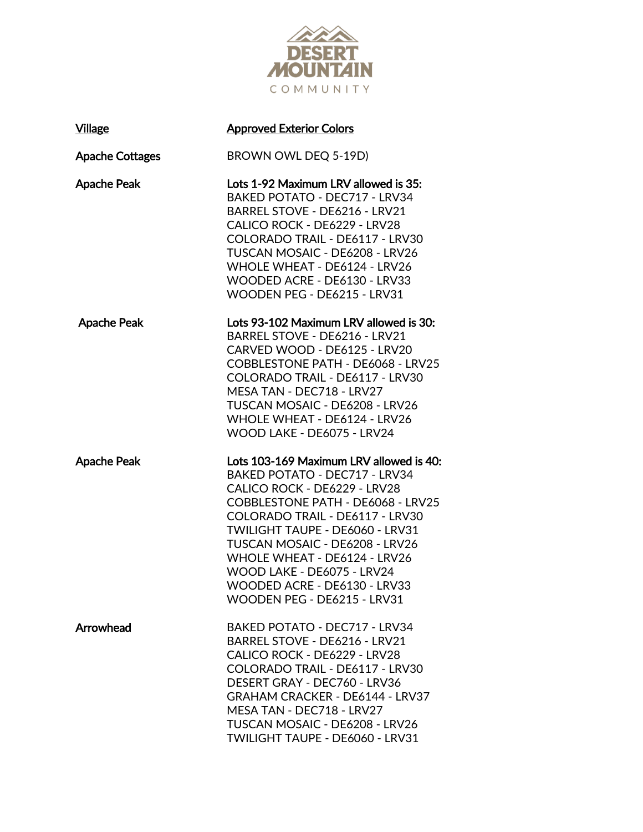

| <b>Village</b>         | <b>Approved Exterior Colors</b>                                                                                                                                                                                                                                                                                                                                                           |
|------------------------|-------------------------------------------------------------------------------------------------------------------------------------------------------------------------------------------------------------------------------------------------------------------------------------------------------------------------------------------------------------------------------------------|
| <b>Apache Cottages</b> | BROWN OWL DEQ 5-19D)                                                                                                                                                                                                                                                                                                                                                                      |
| <b>Apache Peak</b>     | Lots 1-92 Maximum LRV allowed is 35:<br><b>BAKED POTATO - DEC717 - LRV34</b><br>BARREL STOVE - DE6216 - LRV21<br>CALICO ROCK - DE6229 - LRV28<br>COLORADO TRAIL - DE6117 - LRV30<br>TUSCAN MOSAIC - DE6208 - LRV26<br>WHOLE WHEAT - DE6124 - LRV26<br>WOODED ACRE - DE6130 - LRV33<br>WOODEN PEG - DE6215 - LRV31                                                                         |
| <b>Apache Peak</b>     | Lots 93-102 Maximum LRV allowed is 30:<br>BARREL STOVE - DE6216 - LRV21<br>CARVED WOOD - DE6125 - LRV20<br>COBBLESTONE PATH - DE6068 - LRV25<br>COLORADO TRAIL - DE6117 - LRV30<br>MESA TAN - DEC718 - LRV27<br>TUSCAN MOSAIC - DE6208 - LRV26<br>WHOLE WHEAT - DE6124 - LRV26<br>WOOD LAKE - DE6075 - LRV24                                                                              |
| <b>Apache Peak</b>     | Lots 103-169 Maximum LRV allowed is 40:<br><b>BAKED POTATO - DEC717 - LRV34</b><br>CALICO ROCK - DE6229 - LRV28<br>COBBLESTONE PATH - DE6068 - LRV25<br>COLORADO TRAIL - DE6117 - LRV30<br>TWILIGHT TAUPE - DE6060 - LRV31<br>TUSCAN MOSAIC - DE6208 - LRV26<br>WHOLE WHEAT - DE6124 - LRV26<br>WOOD LAKE - DE6075 - LRV24<br>WOODED ACRE - DE6130 - LRV33<br>WOODEN PEG - DE6215 - LRV31 |
| Arrowhead              | BAKED POTATO - DEC717 - LRV34<br>BARREL STOVE - DE6216 - LRV21<br>CALICO ROCK - DE6229 - LRV28<br>COLORADO TRAIL - DE6117 - LRV30<br>DESERT GRAY - DEC760 - LRV36<br><b>GRAHAM CRACKER - DE6144 - LRV37</b><br>MESA TAN - DEC718 - LRV27<br>TUSCAN MOSAIC - DE6208 - LRV26<br>TWILIGHT TAUPE - DE6060 - LRV31                                                                             |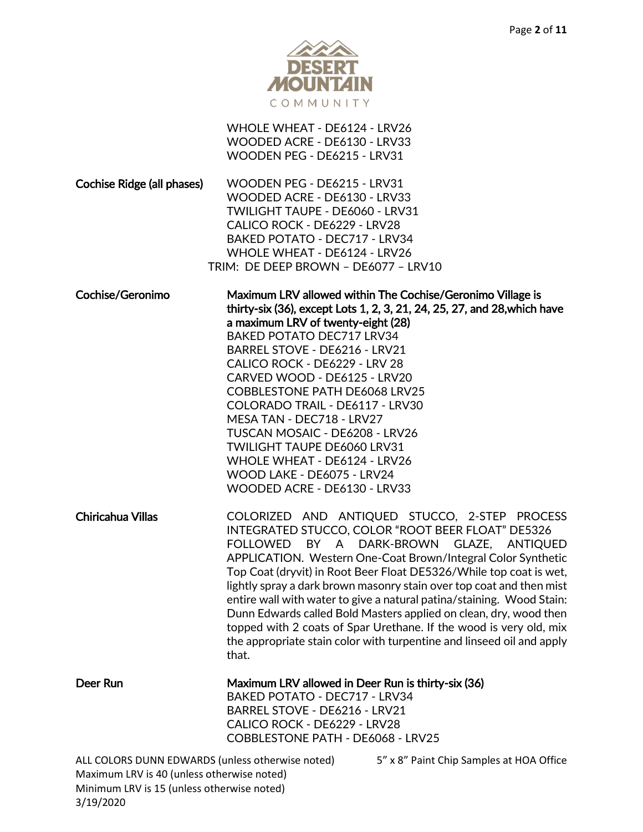

|                                                                                                | WHOLE WHEAT - DE6124 - LRV26<br>WOODED ACRE - DE6130 - LRV33<br>WOODEN PEG - DE6215 - LRV31                                                                                                                                                                                                                                                                                                                                                                                                                                                                                                                                                                        |
|------------------------------------------------------------------------------------------------|--------------------------------------------------------------------------------------------------------------------------------------------------------------------------------------------------------------------------------------------------------------------------------------------------------------------------------------------------------------------------------------------------------------------------------------------------------------------------------------------------------------------------------------------------------------------------------------------------------------------------------------------------------------------|
| Cochise Ridge (all phases)                                                                     | WOODEN PEG - DE6215 - LRV31<br>WOODED ACRE - DE6130 - LRV33<br>TWILIGHT TAUPE - DE6060 - LRV31<br>CALICO ROCK - DE6229 - LRV28<br>BAKED POTATO - DEC717 - LRV34<br>WHOLE WHEAT - DE6124 - LRV26<br>TRIM: DE DEEP BROWN - DE6077 - LRV10                                                                                                                                                                                                                                                                                                                                                                                                                            |
| Cochise/Geronimo                                                                               | Maximum LRV allowed within The Cochise/Geronimo Village is<br>thirty-six (36), except Lots 1, 2, 3, 21, 24, 25, 27, and 28, which have<br>a maximum LRV of twenty-eight (28)<br>BAKED POTATO DEC717 LRV34<br>BARREL STOVE - DE6216 - LRV21<br>CALICO ROCK - DE6229 - LRV 28<br>CARVED WOOD - DE6125 - LRV20<br><b>COBBLESTONE PATH DE6068 LRV25</b><br>COLORADO TRAIL - DE6117 - LRV30<br>MESA TAN - DEC718 - LRV27<br>TUSCAN MOSAIC - DE6208 - LRV26<br><b>TWILIGHT TAUPE DE6060 LRV31</b><br>WHOLE WHEAT - DE6124 - LRV26<br>WOOD LAKE - DE6075 - LRV24<br>WOODED ACRE - DE6130 - LRV33                                                                          |
| Chiricahua Villas                                                                              | COLORIZED AND ANTIQUED STUCCO, 2-STEP PROCESS<br>INTEGRATED STUCCO, COLOR "ROOT BEER FLOAT" DE5326<br>FOLLOWED BY A DARK-BROWN GLAZE, ANTIQUED<br>APPLICATION. Western One-Coat Brown/Integral Color Synthetic<br>Top Coat (dryvit) in Root Beer Float DE5326/While top coat is wet,<br>lightly spray a dark brown masonry stain over top coat and then mist<br>entire wall with water to give a natural patina/staining. Wood Stain:<br>Dunn Edwards called Bold Masters applied on clean, dry, wood then<br>topped with 2 coats of Spar Urethane. If the wood is very old, mix<br>the appropriate stain color with turpentine and linseed oil and apply<br>that. |
| Deer Run                                                                                       | Maximum LRV allowed in Deer Run is thirty-six (36)<br><b>BAKED POTATO - DEC717 - LRV34</b><br>BARREL STOVE - DE6216 - LRV21<br>CALICO ROCK - DE6229 - LRV28<br>COBBLESTONE PATH - DE6068 - LRV25                                                                                                                                                                                                                                                                                                                                                                                                                                                                   |
| ALL COLORS DUNN EDWARDS (unless otherwise noted)<br>Maximum LRV is 40 (unless otherwise noted) | 5" x 8" Paint Chip Samples at HOA Office                                                                                                                                                                                                                                                                                                                                                                                                                                                                                                                                                                                                                           |

Minimum LRV is 15 (unless otherwise noted)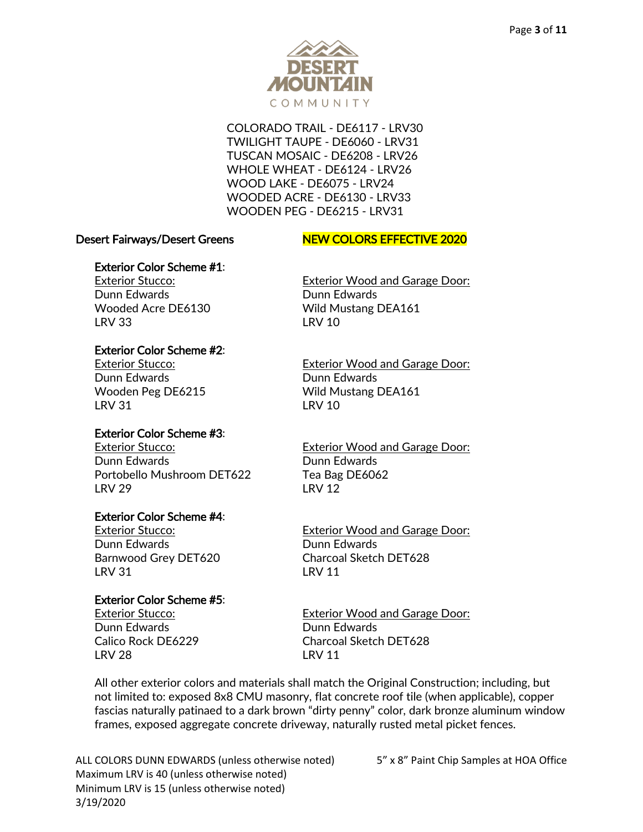

COLORADO TRAIL - DE6117 - LRV30 TWILIGHT TAUPE - DE6060 - LRV31 TUSCAN MOSAIC - DE6208 - LRV26 WHOLE WHEAT - DE6124 - LRV26 WOOD LAKE - DE6075 - LRV24 WOODED ACRE - DE6130 - LRV33 WOODEN PEG - DE6215 - LRV31

#### Desert Fairways/Desert Greens NEW COLORS EFFECTIVE 2020

### Exterior Color Scheme #1:

Dunn Edwards Dunn Edwards LRV 33 LRV 10

## Exterior Color Scheme #2:

Dunn Edwards Dunn Edwards LRV 31 LRV 10

# Exterior Color Scheme #3:

Dunn Edwards Dunn Edwards Portobello Mushroom DET622 Tea Bag DE6062 LRV 29 LRV 12

### Exterior Color Scheme #4:

Dunn Edwards Dunn Edwards LRV 31 LRV 11

# Exterior Color Scheme #5:

Dunn Edwards Dunn Edwards LRV 28 LRV 11

Exterior Stucco: Exterior Wood and Garage Door: Wooded Acre DE6130 Wild Mustang DEA161

Exterior Stucco: Exterior Wood and Garage Door: Wooden Peg DE6215 Wild Mustang DEA161

Exterior Stucco: Exterior Wood and Garage Door:

Exterior Stucco: Exterior Wood and Garage Door: Barnwood Grey DET620 Charcoal Sketch DET628

Exterior Stucco: Exterior Wood and Garage Door: Calico Rock DE6229 Charcoal Sketch DET628

All other exterior colors and materials shall match the Original Construction; including, but not limited to: exposed 8x8 CMU masonry, flat concrete roof tile (when applicable), copper fascias naturally patinaed to a dark brown "dirty penny" color, dark bronze aluminum window frames, exposed aggregate concrete driveway, naturally rusted metal picket fences.

ALL COLORS DUNN EDWARDS (unless otherwise noted) 5" x 8" Paint Chip Samples at HOA Office Maximum LRV is 40 (unless otherwise noted) Minimum LRV is 15 (unless otherwise noted) 3/19/2020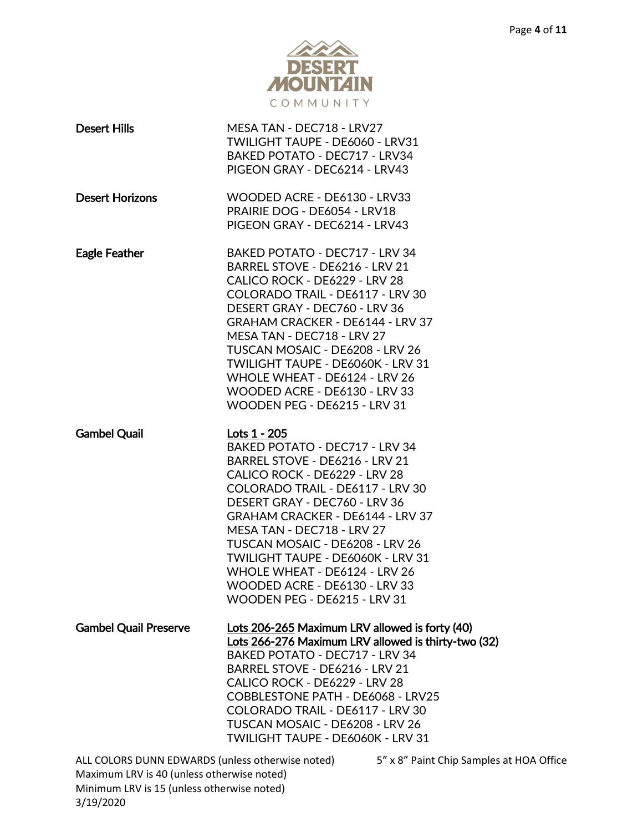

| <b>Desert Hills</b>                              | MESA TAN - DEC718 - LRV27<br>TWILIGHT TAUPE - DE6060 - LRV31<br>BAKED POTATO - DEC717 - LRV34<br>PIGEON GRAY - DEC6214 - LRV43                                                                                                                                                                                                                                                                                                            |                               |
|--------------------------------------------------|-------------------------------------------------------------------------------------------------------------------------------------------------------------------------------------------------------------------------------------------------------------------------------------------------------------------------------------------------------------------------------------------------------------------------------------------|-------------------------------|
| <b>Desert Horizons</b>                           | WOODED ACRE - DE6130 - LRV33<br>PRAIRIE DOG - DE6054 - LRV18<br>PIGEON GRAY - DEC6214 - LRV43                                                                                                                                                                                                                                                                                                                                             |                               |
| <b>Eagle Feather</b>                             | BAKED POTATO - DEC717 - LRV 34<br>BARREL STOVE - DE6216 - LRV 21<br>CALICO ROCK - DE6229 - LRV 28<br>COLORADO TRAIL - DE6117 - LRV 30<br>DESERT GRAY - DEC760 - LRV 36<br><b>GRAHAM CRACKER - DE6144 - LRV 37</b><br>MESA TAN - DEC718 - LRV 27<br>TUSCAN MOSAIC - DE6208 - LRV 26<br>TWILIGHT TAUPE - DE6060K - LRV 31<br>WHOLE WHEAT - DE6124 - LRV 26<br>WOODED ACRE - DE6130 - LRV 33<br>WOODEN PEG - DE6215 - LRV 31                 |                               |
| <b>Gambel Quail</b>                              | Lots 1 - 205<br>BAKED POTATO - DEC717 - LRV 34<br>BARREL STOVE - DE6216 - LRV 21<br>CALICO ROCK - DE6229 - LRV 28<br>COLORADO TRAIL - DE6117 - LRV 30<br>DESERT GRAY - DEC760 - LRV 36<br><b>GRAHAM CRACKER - DE6144 - LRV 37</b><br>MESA TAN - DEC718 - LRV 27<br>TUSCAN MOSAIC - DE6208 - LRV 26<br>TWILIGHT TAUPE - DE6060K - LRV 31<br>WHOLE WHEAT - DE6124 - LRV 26<br>WOODED ACRE - DE6130 - LRV 33<br>WOODEN PEG - DE6215 - LRV 31 |                               |
| <b>Gambel Quail Preserve</b>                     | Lots 206-265 Maximum LRV allowed is forty (40)<br>Lots 266-276 Maximum LRV allowed is thirty-two (32)<br>BAKED POTATO - DEC717 - LRV 34<br>BARREL STOVE - DE6216 - LRV 21<br>CALICO ROCK - DE6229 - LRV 28<br>COBBLESTONE PATH - DE6068 - LRV25<br>COLORADO TRAIL - DE6117 - LRV 30<br>TUSCAN MOSAIC - DE6208 - LRV 26<br>TWILIGHT TAUPE - DE6060K - LRV 31                                                                               |                               |
| ALL COLORS DUNN EDWARDS (unless otherwise noted) |                                                                                                                                                                                                                                                                                                                                                                                                                                           | 5" x 8" Paint Chip Samples at |

Maximum LRV is 40 (unless otherwise noted) Minimum LRV is 15 (unless otherwise noted) 3/19/2020

It HOA Office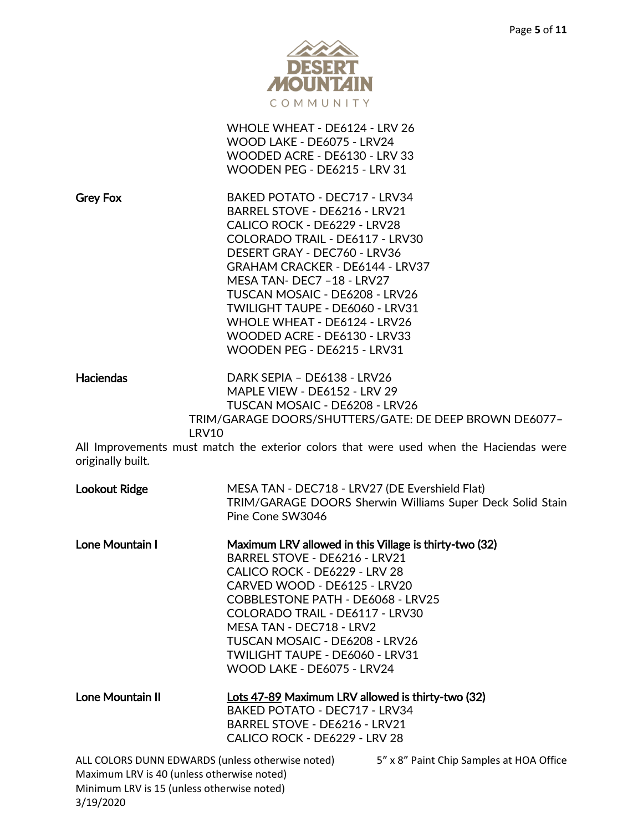

|                                                                                                                                              | WHOLE WHEAT - DE6124 - LRV 26<br>WOOD LAKE - DE6075 - LRV24<br>WOODED ACRE - DE6130 - LRV 33<br>WOODEN PEG - DE6215 - LRV 31                                                                                                                                                                                                                                                                                  |                                                                                        |
|----------------------------------------------------------------------------------------------------------------------------------------------|---------------------------------------------------------------------------------------------------------------------------------------------------------------------------------------------------------------------------------------------------------------------------------------------------------------------------------------------------------------------------------------------------------------|----------------------------------------------------------------------------------------|
| <b>Grey Fox</b>                                                                                                                              | BAKED POTATO - DEC717 - LRV34<br>BARREL STOVE - DE6216 - LRV21<br>CALICO ROCK - DE6229 - LRV28<br>COLORADO TRAIL - DE6117 - LRV30<br>DESERT GRAY - DEC760 - LRV36<br><b>GRAHAM CRACKER - DE6144 - LRV37</b><br>MESA TAN- DEC7 -18 - LRV27<br>TUSCAN MOSAIC - DE6208 - LRV26<br>TWILIGHT TAUPE - DE6060 - LRV31<br>WHOLE WHEAT - DE6124 - LRV26<br>WOODED ACRE - DE6130 - LRV33<br>WOODEN PEG - DE6215 - LRV31 |                                                                                        |
| <b>Haciendas</b><br><b>LRV10</b>                                                                                                             | DARK SEPIA - DE6138 - LRV26<br>MAPLE VIEW - DE6152 - LRV 29<br>TUSCAN MOSAIC - DE6208 - LRV26                                                                                                                                                                                                                                                                                                                 | TRIM/GARAGE DOORS/SHUTTERS/GATE: DE DEEP BROWN DE6077-                                 |
| originally built.                                                                                                                            |                                                                                                                                                                                                                                                                                                                                                                                                               | All Improvements must match the exterior colors that were used when the Haciendas were |
| <b>Lookout Ridge</b>                                                                                                                         | MESA TAN - DEC718 - LRV27 (DE Evershield Flat)<br>Pine Cone SW3046                                                                                                                                                                                                                                                                                                                                            | TRIM/GARAGE DOORS Sherwin Williams Super Deck Solid Stain                              |
| Lone Mountain I                                                                                                                              | Maximum LRV allowed in this Village is thirty-two (32)<br>BARREL STOVE - DE6216 - LRV21<br>CALICO ROCK - DE6229 - LRV 28<br>CARVED WOOD - DE6125 - LRV20<br>COBBLESTONE PATH - DE6068 - LRV25<br>COLORADO TRAIL - DE6117 - LRV30<br>MESA TAN - DEC718 - LRV2<br>TUSCAN MOSAIC - DE6208 - LRV26<br>TWILIGHT TAUPE - DE6060 - LRV31<br>WOOD LAKE - DE6075 - LRV24                                               |                                                                                        |
| Lone Mountain II                                                                                                                             | Lots 47-89 Maximum LRV allowed is thirty-two (32)<br><b>BAKED POTATO - DEC717 - LRV34</b><br>BARREL STOVE - DE6216 - LRV21<br>CALICO ROCK - DE6229 - LRV 28                                                                                                                                                                                                                                                   |                                                                                        |
| ALL COLORS DUNN EDWARDS (unless otherwise noted)<br>Maximum LRV is 40 (unless otherwise noted)<br>Minimum LRV is 15 (unless otherwise noted) |                                                                                                                                                                                                                                                                                                                                                                                                               | 5" x 8" Paint Chip Samples at HOA Office                                               |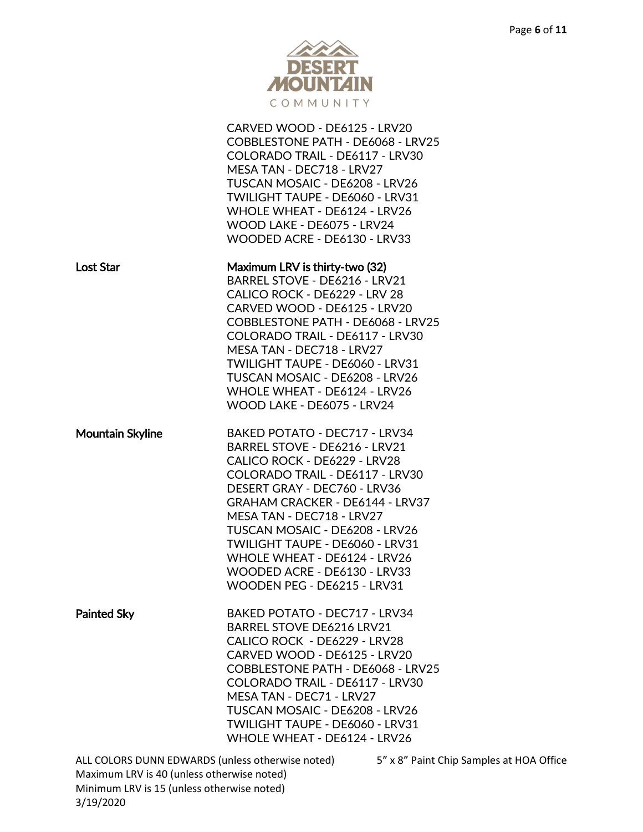

|                                                                                          | CARVED WOOD - DE6125 - LRV20<br>COBBLESTONE PATH - DE6068 - LRV25<br>COLORADO TRAIL - DE6117 - LRV30<br>MESA TAN - DEC718 - LRV27<br>TUSCAN MOSAIC - DE6208 - LRV26<br>TWILIGHT TAUPE - DE6060 - LRV31<br>WHOLE WHEAT - DE6124 - LRV26<br>WOOD LAKE - DE6075 - LRV24<br>WOODED ACRE - DE6130 - LRV33                                                                                                         |                                          |
|------------------------------------------------------------------------------------------|--------------------------------------------------------------------------------------------------------------------------------------------------------------------------------------------------------------------------------------------------------------------------------------------------------------------------------------------------------------------------------------------------------------|------------------------------------------|
| <b>Lost Star</b>                                                                         | Maximum LRV is thirty-two (32)<br>BARREL STOVE - DE6216 - LRV21<br>CALICO ROCK - DE6229 - LRV 28<br>CARVED WOOD - DE6125 - LRV20<br>COBBLESTONE PATH - DE6068 - LRV25<br>COLORADO TRAIL - DE6117 - LRV30<br>MESA TAN - DEC718 - LRV27<br>TWILIGHT TAUPE - DE6060 - LRV31<br>TUSCAN MOSAIC - DE6208 - LRV26<br>WHOLE WHEAT - DE6124 - LRV26<br>WOOD LAKE - DE6075 - LRV24                                     |                                          |
| <b>Mountain Skyline</b>                                                                  | BAKED POTATO - DEC717 - LRV34<br>BARREL STOVE - DE6216 - LRV21<br>CALICO ROCK - DE6229 - LRV28<br>COLORADO TRAIL - DE6117 - LRV30<br>DESERT GRAY - DEC760 - LRV36<br><b>GRAHAM CRACKER - DE6144 - LRV37</b><br>MESA TAN - DEC718 - LRV27<br>TUSCAN MOSAIC - DE6208 - LRV26<br>TWILIGHT TAUPE - DE6060 - LRV31<br>WHOLE WHEAT - DE6124 - LRV26<br>WOODED ACRE - DE6130 - LRV33<br>WOODEN PEG - DE6215 - LRV31 |                                          |
| <b>Painted Sky</b>                                                                       | <b>BAKED POTATO - DEC717 - LRV34</b><br>BARREL STOVE DE6216 LRV21<br>CALICO ROCK - DE6229 - LRV28<br>CARVED WOOD - DE6125 - LRV20<br>COBBLESTONE PATH - DE6068 - LRV25<br>COLORADO TRAIL - DE6117 - LRV30<br>MESA TAN - DEC71 - LRV27<br>TUSCAN MOSAIC - DE6208 - LRV26<br>TWILIGHT TAUPE - DE6060 - LRV31<br>WHOLE WHEAT - DE6124 - LRV26                                                                   |                                          |
| Maximum LRV is 40 (unless otherwise noted)<br>Minimum LRV is 15 (unless otherwise noted) | ALL COLORS DUNN EDWARDS (unless otherwise noted)                                                                                                                                                                                                                                                                                                                                                             | 5" x 8" Paint Chip Samples at HOA Office |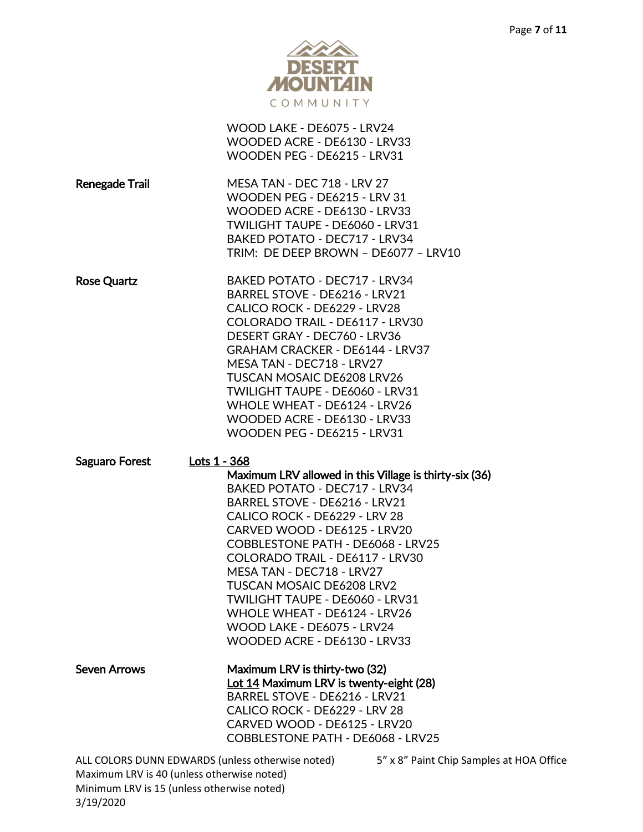

|                                                                                                                                              | WOOD LAKE - DE6075 - LRV24<br>WOODED ACRE - DE6130 - LRV33<br>WOODEN PEG - DE6215 - LRV31                                                                                                                                                                                                                                                                                                                                                                                  |
|----------------------------------------------------------------------------------------------------------------------------------------------|----------------------------------------------------------------------------------------------------------------------------------------------------------------------------------------------------------------------------------------------------------------------------------------------------------------------------------------------------------------------------------------------------------------------------------------------------------------------------|
| <b>Renegade Trail</b>                                                                                                                        | <b>MESA TAN - DEC 718 - LRV 27</b><br>WOODEN PEG - DE6215 - LRV 31<br>WOODED ACRE - DE6130 - LRV33<br><b>TWILIGHT TAUPE - DE6060 - LRV31</b><br>BAKED POTATO - DEC717 - LRV34<br>TRIM: DE DEEP BROWN - DE6077 - LRV10                                                                                                                                                                                                                                                      |
| <b>Rose Quartz</b>                                                                                                                           | BAKED POTATO - DEC717 - LRV34<br>BARREL STOVE - DE6216 - LRV21<br>CALICO ROCK - DE6229 - LRV28<br>COLORADO TRAIL - DE6117 - LRV30<br>DESERT GRAY - DEC760 - LRV36<br>GRAHAM CRACKER - DE6144 - LRV37<br>MESA TAN - DEC718 - LRV27<br><b>TUSCAN MOSAIC DE6208 LRV26</b><br>TWILIGHT TAUPE - DE6060 - LRV31<br>WHOLE WHEAT - DE6124 - LRV26<br>WOODED ACRE - DE6130 - LRV33<br>WOODEN PEG - DE6215 - LRV31                                                                   |
| Lots 1 - 368<br>Saguaro Forest                                                                                                               | Maximum LRV allowed in this Village is thirty-six (36)<br><b>BAKED POTATO - DEC717 - LRV34</b><br>BARREL STOVE - DE6216 - LRV21<br>CALICO ROCK - DE6229 - LRV 28<br>CARVED WOOD - DE6125 - LRV20<br>COBBLESTONE PATH - DE6068 - LRV25<br>COLORADO TRAIL - DE6117 - LRV30<br>MESA TAN - DEC718 - LRV27<br><b>TUSCAN MOSAIC DE6208 LRV2</b><br>TWILIGHT TAUPE - DE6060 - LRV31<br>WHOLE WHEAT - DE6124 - LRV26<br>WOOD LAKE - DE6075 - LRV24<br>WOODED ACRE - DE6130 - LRV33 |
| <b>Seven Arrows</b>                                                                                                                          | Maximum LRV is thirty-two (32)<br>Lot 14 Maximum LRV is twenty-eight (28)<br>BARREL STOVE - DE6216 - LRV21<br>CALICO ROCK - DE6229 - LRV 28<br>CARVED WOOD - DE6125 - LRV20<br>COBBLESTONE PATH - DE6068 - LRV25                                                                                                                                                                                                                                                           |
| ALL COLORS DUNN EDWARDS (unless otherwise noted)<br>Maximum LRV is 40 (unless otherwise noted)<br>Minimum LRV is 15 (unless otherwise noted) | 5" x 8" Paint Chip Sample                                                                                                                                                                                                                                                                                                                                                                                                                                                  |

es at HOA Office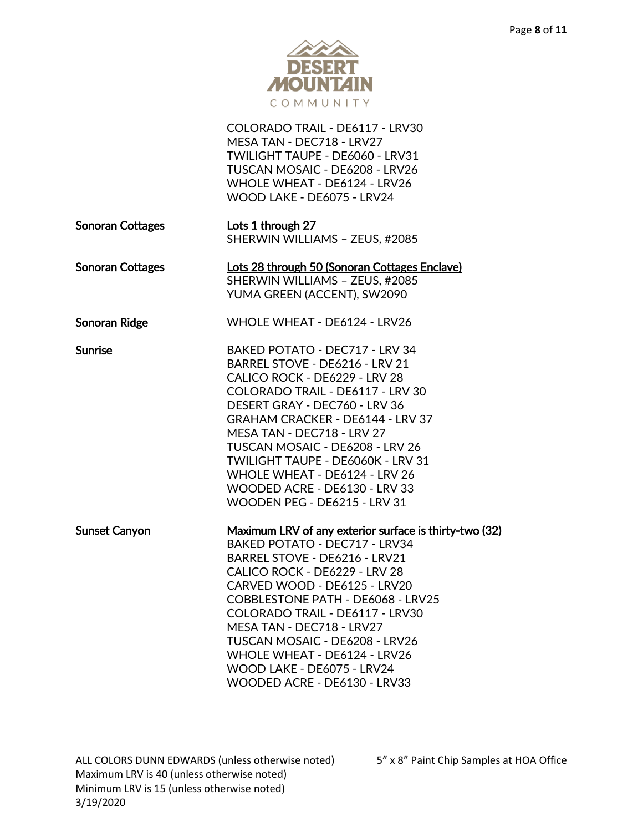

|                         | COLORADO TRAIL - DE6117 - LRV30<br>MESA TAN - DEC718 - LRV27<br><b>TWILIGHT TAUPE - DE6060 - LRV31</b><br>TUSCAN MOSAIC - DE6208 - LRV26<br>WHOLE WHEAT - DE6124 - LRV26<br>WOOD LAKE - DE6075 - LRV24                                                                                                                                                                                                                         |
|-------------------------|--------------------------------------------------------------------------------------------------------------------------------------------------------------------------------------------------------------------------------------------------------------------------------------------------------------------------------------------------------------------------------------------------------------------------------|
| <b>Sonoran Cottages</b> | Lots 1 through 27<br>SHERWIN WILLIAMS - ZEUS, #2085                                                                                                                                                                                                                                                                                                                                                                            |
| <b>Sonoran Cottages</b> | Lots 28 through 50 (Sonoran Cottages Enclave)<br>SHERWIN WILLIAMS - ZEUS, #2085<br>YUMA GREEN (ACCENT), SW2090                                                                                                                                                                                                                                                                                                                 |
| Sonoran Ridge           | WHOLE WHEAT - DE6124 - LRV26                                                                                                                                                                                                                                                                                                                                                                                                   |
| <b>Sunrise</b>          | BAKED POTATO - DEC717 - LRV 34<br>BARREL STOVE - DE6216 - LRV 21<br>CALICO ROCK - DE6229 - LRV 28<br>COLORADO TRAIL - DE6117 - LRV 30<br>DESERT GRAY - DEC760 - LRV 36<br><b>GRAHAM CRACKER - DE6144 - LRV 37</b><br>MESA TAN - DEC718 - LRV 27<br>TUSCAN MOSAIC - DE6208 - LRV 26<br>TWILIGHT TAUPE - DE6060K - LRV 31<br>WHOLE WHEAT - DE6124 - LRV 26<br>WOODED ACRE - DE6130 - LRV 33<br>WOODEN PEG - DE6215 - LRV 31      |
| <b>Sunset Canyon</b>    | Maximum LRV of any exterior surface is thirty-two (32)<br>BAKED POTATO - DEC717 - LRV34<br>BARREL STOVE - DE6216 - LRV21<br>CALICO ROCK - DE6229 - LRV 28<br>CARVED WOOD - DE6125 - LRV20<br>COBBLESTONE PATH - DE6068 - LRV25<br>COLORADO TRAIL - DE6117 - LRV30<br>MESA TAN - DEC718 - LRV27<br>TUSCAN MOSAIC - DE6208 - LRV26<br>WHOLE WHEAT - DE6124 - LRV26<br>WOOD LAKE - DE6075 - LRV24<br>WOODED ACRE - DE6130 - LRV33 |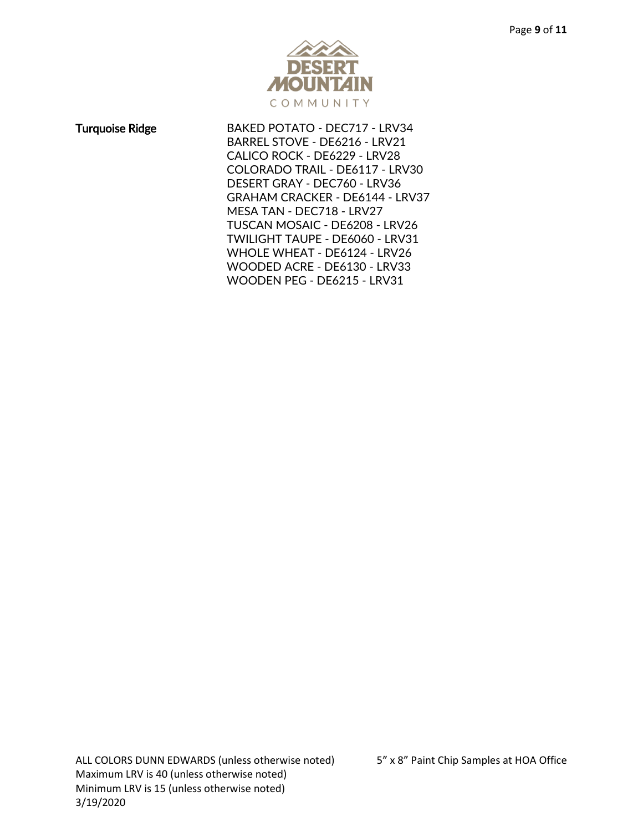

Turquoise Ridge BAKED POTATO - DEC717 - LRV34 BARREL STOVE - DE6216 - LRV21 CALICO ROCK - DE6229 - LRV28 COLORADO TRAIL - DE6117 - LRV30 DESERT GRAY - DEC760 - LRV36 GRAHAM CRACKER - DE6144 - LRV37 MESA TAN - DEC718 - LRV27 TUSCAN MOSAIC - DE6208 - LRV26 TWILIGHT TAUPE - DE6060 - LRV31 WHOLE WHEAT - DE6124 - LRV26 WOODED ACRE - DE6130 - LRV33 WOODEN PEG - DE6215 - LRV31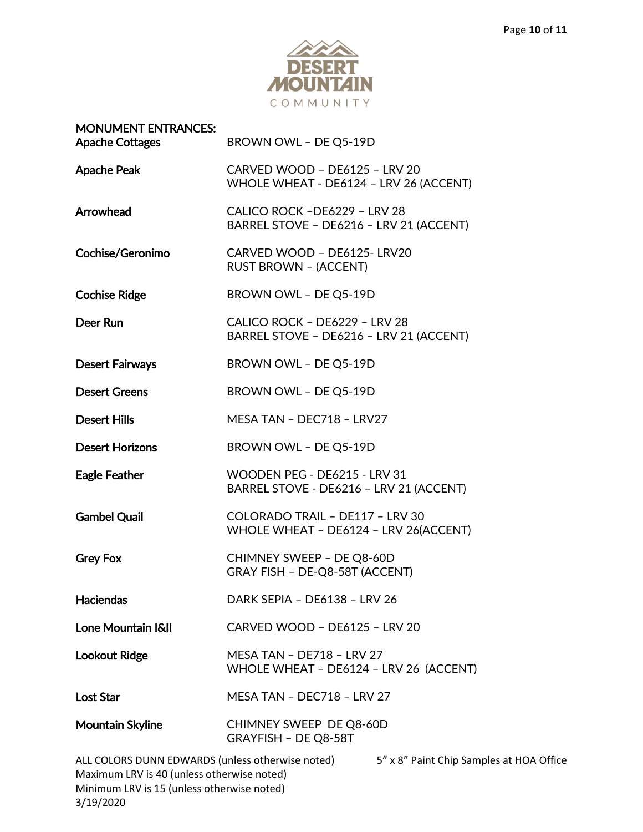

| <b>MONUMENT ENTRANCES:</b><br><b>Apache Cottages</b>                                           | BROWN OWL - DE Q5-19D                                                      |
|------------------------------------------------------------------------------------------------|----------------------------------------------------------------------------|
| <b>Apache Peak</b>                                                                             | CARVED WOOD - DE6125 - LRV 20<br>WHOLE WHEAT - DE6124 - LRV 26 (ACCENT)    |
| Arrowhead                                                                                      | CALICO ROCK - DE6229 - LRV 28<br>BARREL STOVE - DE6216 - LRV 21 (ACCENT)   |
| Cochise/Geronimo                                                                               | CARVED WOOD - DE6125-LRV20<br><b>RUST BROWN - (ACCENT)</b>                 |
| <b>Cochise Ridge</b>                                                                           | BROWN OWL - DE Q5-19D                                                      |
| Deer Run                                                                                       | CALICO ROCK - DE6229 - LRV 28<br>BARREL STOVE - DE6216 - LRV 21 (ACCENT)   |
| <b>Desert Fairways</b>                                                                         | BROWN OWL - DE Q5-19D                                                      |
| <b>Desert Greens</b>                                                                           | BROWN OWL - DE Q5-19D                                                      |
| <b>Desert Hills</b>                                                                            | MESA TAN - DEC718 - LRV27                                                  |
| <b>Desert Horizons</b>                                                                         | BROWN OWL - DE Q5-19D                                                      |
| <b>Eagle Feather</b>                                                                           | WOODEN PEG - DE6215 - LRV 31<br>BARREL STOVE - DE6216 - LRV 21 (ACCENT)    |
| <b>Gambel Quail</b>                                                                            | COLORADO TRAIL - DE117 - LRV 30<br>WHOLE WHEAT - DE6124 - LRV 26(ACCENT)   |
| <b>Grey Fox</b>                                                                                | CHIMNEY SWEEP - DE Q8-60D<br>GRAY FISH - DE-Q8-58T (ACCENT)                |
| <b>Haciendas</b>                                                                               | DARK SEPIA - DE6138 - LRV 26                                               |
| Lone Mountain I&II                                                                             | CARVED WOOD - DE6125 - LRV 20                                              |
| <b>Lookout Ridge</b>                                                                           | <b>MESA TAN - DE718 - LRV 27</b><br>WHOLE WHEAT - DE6124 - LRV 26 (ACCENT) |
| <b>Lost Star</b>                                                                               | MESA TAN - DEC718 - LRV 27                                                 |
| Mountain Skyline                                                                               | CHIMNEY SWEEP DE Q8-60D<br>GRAYFISH - DE Q8-58T                            |
| ALL COLORS DUNN EDWARDS (unless otherwise noted)<br>Maximum LRV is 40 (unless otherwise noted) | 5" x 8" Paint Chip Samples at HOA Office                                   |

Minimum LRV is 15 (unless otherwise noted)